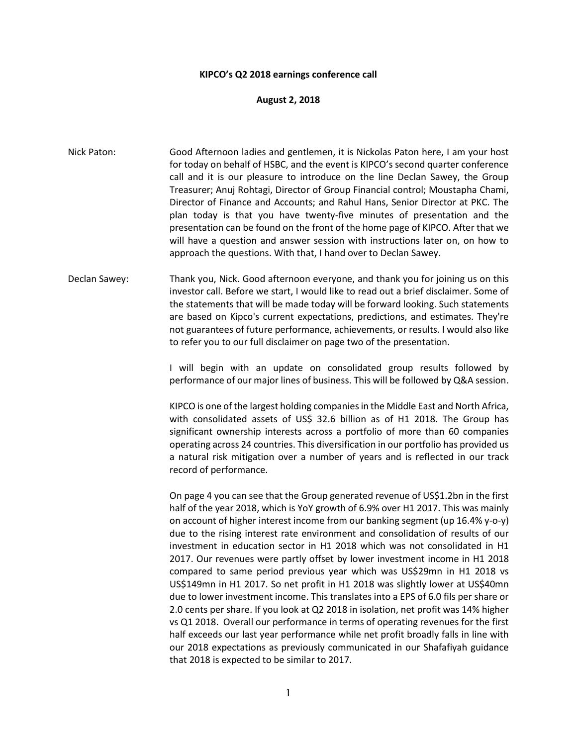## **KIPCO's Q2 2018 earnings conference call**

## **August 2, 2018**

- Nick Paton: Good Afternoon ladies and gentlemen, it is Nickolas Paton here, I am your host for today on behalf of HSBC, and the event is KIPCO's second quarter conference call and it is our pleasure to introduce on the line Declan Sawey, the Group Treasurer; Anuj Rohtagi, Director of Group Financial control; Moustapha Chami, Director of Finance and Accounts; and Rahul Hans, Senior Director at PKC. The plan today is that you have twenty-five minutes of presentation and the presentation can be found on the front of the home page of KIPCO. After that we will have a question and answer session with instructions later on, on how to approach the questions. With that, I hand over to Declan Sawey.
- Declan Sawey: Thank you, Nick. Good afternoon everyone, and thank you for joining us on this investor call. Before we start, I would like to read out a brief disclaimer. Some of the statements that will be made today will be forward looking. Such statements are based on Kipco's current expectations, predictions, and estimates. They're not guarantees of future performance, achievements, or results. I would also like to refer you to our full disclaimer on page two of the presentation.

I will begin with an update on consolidated group results followed by performance of our major lines of business. This will be followed by Q&A session.

KIPCO is one of the largest holding companies in the Middle East and North Africa, with consolidated assets of US\$ 32.6 billion as of H1 2018. The Group has significant ownership interests across a portfolio of more than 60 companies operating across 24 countries. This diversification in our portfolio has provided us a natural risk mitigation over a number of years and is reflected in our track record of performance.

On page 4 you can see that the Group generated revenue of US\$1.2bn in the first half of the year 2018, which is YoY growth of 6.9% over H1 2017. This was mainly on account of higher interest income from our banking segment (up 16.4% y-o-y) due to the rising interest rate environment and consolidation of results of our investment in education sector in H1 2018 which was not consolidated in H1 2017. Our revenues were partly offset by lower investment income in H1 2018 compared to same period previous year which was US\$29mn in H1 2018 vs US\$149mn in H1 2017. So net profit in H1 2018 was slightly lower at US\$40mn due to lower investment income. This translates into a EPS of 6.0 fils per share or 2.0 cents per share. If you look at Q2 2018 in isolation, net profit was 14% higher vs Q1 2018. Overall our performance in terms of operating revenues for the first half exceeds our last year performance while net profit broadly falls in line with our 2018 expectations as previously communicated in our Shafafiyah guidance that 2018 is expected to be similar to 2017.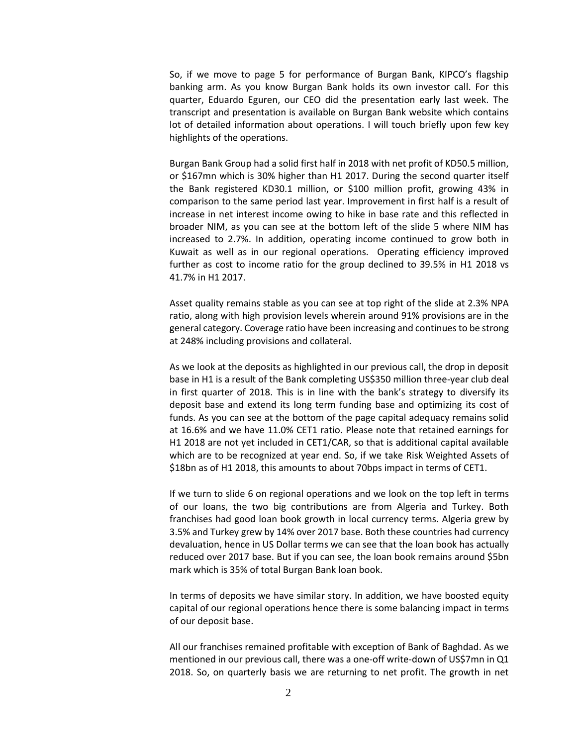So, if we move to page 5 for performance of Burgan Bank, KIPCO's flagship banking arm. As you know Burgan Bank holds its own investor call. For this quarter, Eduardo Eguren, our CEO did the presentation early last week. The transcript and presentation is available on Burgan Bank website which contains lot of detailed information about operations. I will touch briefly upon few key highlights of the operations.

Burgan Bank Group had a solid first half in 2018 with net profit of KD50.5 million, or \$167mn which is 30% higher than H1 2017. During the second quarter itself the Bank registered KD30.1 million, or \$100 million profit, growing 43% in comparison to the same period last year. Improvement in first half is a result of increase in net interest income owing to hike in base rate and this reflected in broader NIM, as you can see at the bottom left of the slide 5 where NIM has increased to 2.7%. In addition, operating income continued to grow both in Kuwait as well as in our regional operations. Operating efficiency improved further as cost to income ratio for the group declined to 39.5% in H1 2018 vs 41.7% in H1 2017.

Asset quality remains stable as you can see at top right of the slide at 2.3% NPA ratio, along with high provision levels wherein around 91% provisions are in the general category. Coverage ratio have been increasing and continues to be strong at 248% including provisions and collateral.

As we look at the deposits as highlighted in our previous call, the drop in deposit base in H1 is a result of the Bank completing US\$350 million three-year club deal in first quarter of 2018. This is in line with the bank's strategy to diversify its deposit base and extend its long term funding base and optimizing its cost of funds. As you can see at the bottom of the page capital adequacy remains solid at 16.6% and we have 11.0% CET1 ratio. Please note that retained earnings for H1 2018 are not yet included in CET1/CAR, so that is additional capital available which are to be recognized at year end. So, if we take Risk Weighted Assets of \$18bn as of H1 2018, this amounts to about 70bps impact in terms of CET1.

If we turn to slide 6 on regional operations and we look on the top left in terms of our loans, the two big contributions are from Algeria and Turkey. Both franchises had good loan book growth in local currency terms. Algeria grew by 3.5% and Turkey grew by 14% over 2017 base. Both these countries had currency devaluation, hence in US Dollar terms we can see that the loan book has actually reduced over 2017 base. But if you can see, the loan book remains around \$5bn mark which is 35% of total Burgan Bank loan book.

In terms of deposits we have similar story. In addition, we have boosted equity capital of our regional operations hence there is some balancing impact in terms of our deposit base.

All our franchises remained profitable with exception of Bank of Baghdad. As we mentioned in our previous call, there was a one-off write-down of US\$7mn in Q1 2018. So, on quarterly basis we are returning to net profit. The growth in net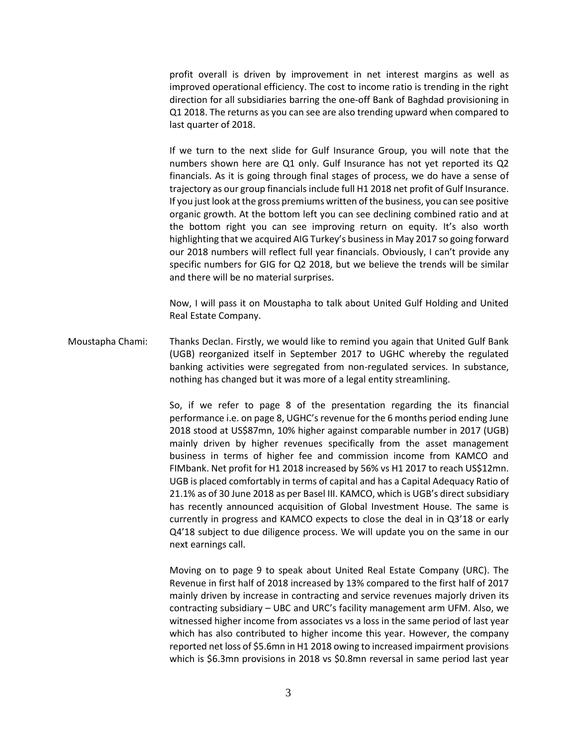profit overall is driven by improvement in net interest margins as well as improved operational efficiency. The cost to income ratio is trending in the right direction for all subsidiaries barring the one-off Bank of Baghdad provisioning in Q1 2018. The returns as you can see are also trending upward when compared to last quarter of 2018.

If we turn to the next slide for Gulf Insurance Group, you will note that the numbers shown here are Q1 only. Gulf Insurance has not yet reported its Q2 financials. As it is going through final stages of process, we do have a sense of trajectory as our group financials include full H1 2018 net profit of Gulf Insurance. If you just look at the gross premiums written of the business, you can see positive organic growth. At the bottom left you can see declining combined ratio and at the bottom right you can see improving return on equity. It's also worth highlighting that we acquired AIG Turkey's business in May 2017 so going forward our 2018 numbers will reflect full year financials. Obviously, I can't provide any specific numbers for GIG for Q2 2018, but we believe the trends will be similar and there will be no material surprises.

Now, I will pass it on Moustapha to talk about United Gulf Holding and United Real Estate Company.

Moustapha Chami: Thanks Declan. Firstly, we would like to remind you again that United Gulf Bank (UGB) reorganized itself in September 2017 to UGHC whereby the regulated banking activities were segregated from non-regulated services. In substance, nothing has changed but it was more of a legal entity streamlining.

> So, if we refer to page 8 of the presentation regarding the its financial performance i.e. on page 8, UGHC's revenue for the 6 months period ending June 2018 stood at US\$87mn, 10% higher against comparable number in 2017 (UGB) mainly driven by higher revenues specifically from the asset management business in terms of higher fee and commission income from KAMCO and FIMbank. Net profit for H1 2018 increased by 56% vs H1 2017 to reach US\$12mn. UGB is placed comfortably in terms of capital and has a Capital Adequacy Ratio of 21.1% as of 30 June 2018 as per Basel III. KAMCO, which is UGB's direct subsidiary has recently announced acquisition of Global Investment House. The same is currently in progress and KAMCO expects to close the deal in in Q3'18 or early Q4'18 subject to due diligence process. We will update you on the same in our next earnings call.

> Moving on to page 9 to speak about United Real Estate Company (URC). The Revenue in first half of 2018 increased by 13% compared to the first half of 2017 mainly driven by increase in contracting and service revenues majorly driven its contracting subsidiary – UBC and URC's facility management arm UFM. Also, we witnessed higher income from associates vs a loss in the same period of last year which has also contributed to higher income this year. However, the company reported net loss of \$5.6mn in H1 2018 owing to increased impairment provisions which is \$6.3mn provisions in 2018 vs \$0.8mn reversal in same period last year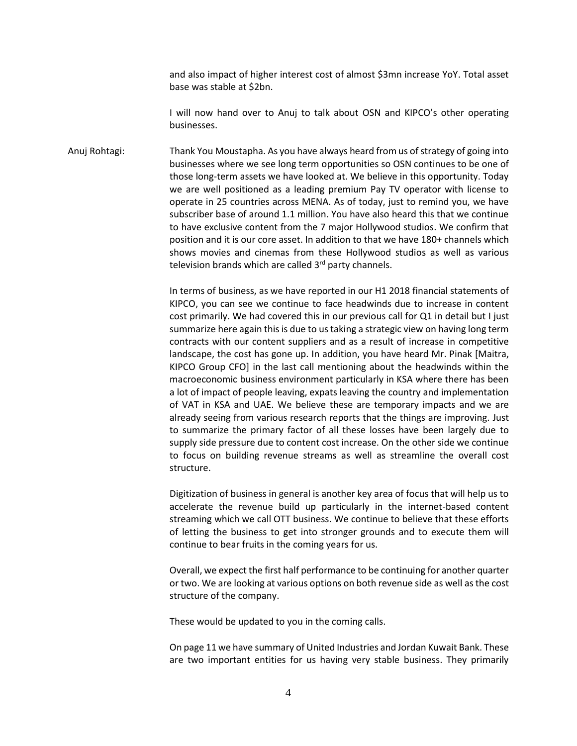and also impact of higher interest cost of almost \$3mn increase YoY. Total asset base was stable at \$2bn.

I will now hand over to Anuj to talk about OSN and KIPCO's other operating businesses.

Anuj Rohtagi: Thank You Moustapha. As you have always heard from us of strategy of going into businesses where we see long term opportunities so OSN continues to be one of those long-term assets we have looked at. We believe in this opportunity. Today we are well positioned as a leading premium Pay TV operator with license to operate in 25 countries across MENA. As of today, just to remind you, we have subscriber base of around 1.1 million. You have also heard this that we continue to have exclusive content from the 7 major Hollywood studios. We confirm that position and it is our core asset. In addition to that we have 180+ channels which shows movies and cinemas from these Hollywood studios as well as various television brands which are called 3<sup>rd</sup> party channels.

> In terms of business, as we have reported in our H1 2018 financial statements of KIPCO, you can see we continue to face headwinds due to increase in content cost primarily. We had covered this in our previous call for Q1 in detail but I just summarize here again this is due to us taking a strategic view on having long term contracts with our content suppliers and as a result of increase in competitive landscape, the cost has gone up. In addition, you have heard Mr. Pinak [Maitra, KIPCO Group CFO] in the last call mentioning about the headwinds within the macroeconomic business environment particularly in KSA where there has been a lot of impact of people leaving, expats leaving the country and implementation of VAT in KSA and UAE. We believe these are temporary impacts and we are already seeing from various research reports that the things are improving. Just to summarize the primary factor of all these losses have been largely due to supply side pressure due to content cost increase. On the other side we continue to focus on building revenue streams as well as streamline the overall cost structure.

> Digitization of business in general is another key area of focus that will help us to accelerate the revenue build up particularly in the internet-based content streaming which we call OTT business. We continue to believe that these efforts of letting the business to get into stronger grounds and to execute them will continue to bear fruits in the coming years for us.

> Overall, we expect the first half performance to be continuing for another quarter or two. We are looking at various options on both revenue side as well as the cost structure of the company.

These would be updated to you in the coming calls.

On page 11 we have summary of United Industries and Jordan Kuwait Bank. These are two important entities for us having very stable business. They primarily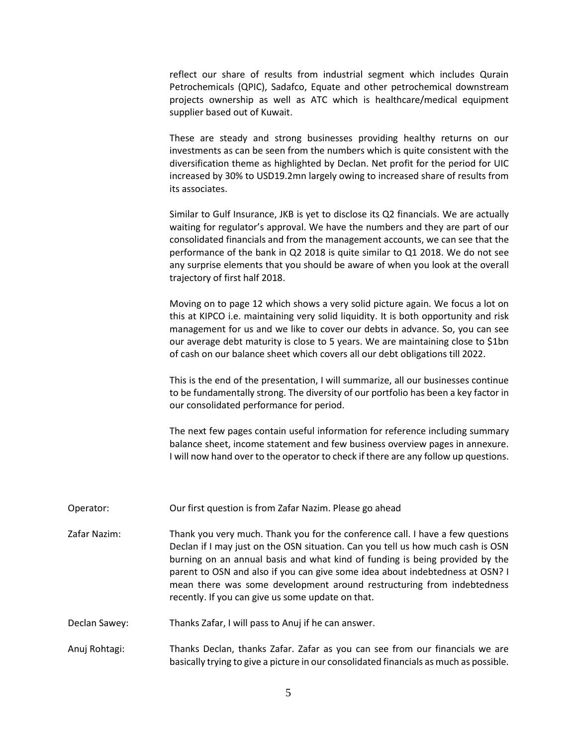reflect our share of results from industrial segment which includes Qurain Petrochemicals (QPIC), Sadafco, Equate and other petrochemical downstream projects ownership as well as ATC which is healthcare/medical equipment supplier based out of Kuwait.

These are steady and strong businesses providing healthy returns on our investments as can be seen from the numbers which is quite consistent with the diversification theme as highlighted by Declan. Net profit for the period for UIC increased by 30% to USD19.2mn largely owing to increased share of results from its associates.

Similar to Gulf Insurance, JKB is yet to disclose its Q2 financials. We are actually waiting for regulator's approval. We have the numbers and they are part of our consolidated financials and from the management accounts, we can see that the performance of the bank in Q2 2018 is quite similar to Q1 2018. We do not see any surprise elements that you should be aware of when you look at the overall trajectory of first half 2018.

Moving on to page 12 which shows a very solid picture again. We focus a lot on this at KIPCO i.e. maintaining very solid liquidity. It is both opportunity and risk management for us and we like to cover our debts in advance. So, you can see our average debt maturity is close to 5 years. We are maintaining close to \$1bn of cash on our balance sheet which covers all our debt obligations till 2022.

This is the end of the presentation, I will summarize, all our businesses continue to be fundamentally strong. The diversity of our portfolio has been a key factor in our consolidated performance for period.

The next few pages contain useful information for reference including summary balance sheet, income statement and few business overview pages in annexure. I will now hand over to the operator to check if there are any follow up questions.

- Operator: Our first question is from Zafar Nazim. Please go ahead
- Zafar Nazim: Thank you very much. Thank you for the conference call. I have a few questions Declan if I may just on the OSN situation. Can you tell us how much cash is OSN burning on an annual basis and what kind of funding is being provided by the parent to OSN and also if you can give some idea about indebtedness at OSN? I mean there was some development around restructuring from indebtedness recently. If you can give us some update on that.
- Declan Sawey: Thanks Zafar, I will pass to Anuj if he can answer.
- Anuj Rohtagi: Thanks Declan, thanks Zafar. Zafar as you can see from our financials we are basically trying to give a picture in our consolidated financials as much as possible.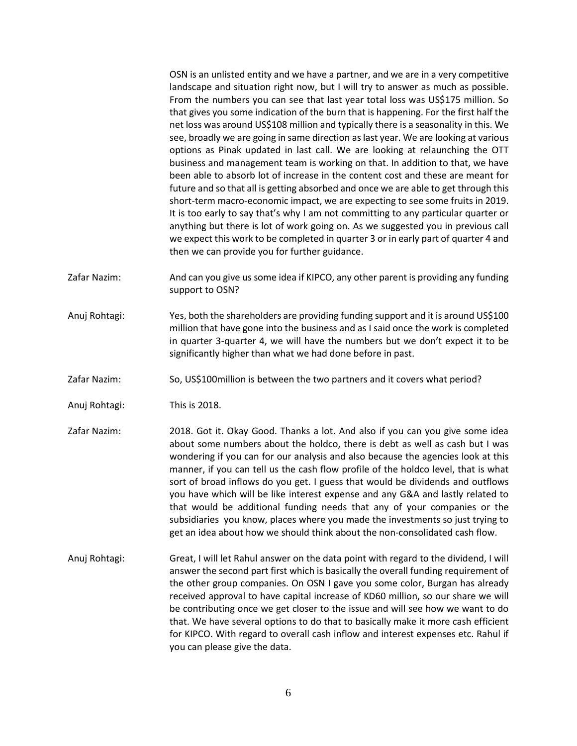OSN is an unlisted entity and we have a partner, and we are in a very competitive landscape and situation right now, but I will try to answer as much as possible. From the numbers you can see that last year total loss was US\$175 million. So that gives you some indication of the burn that is happening. For the first half the net loss was around US\$108 million and typically there is a seasonality in this. We see, broadly we are going in same direction as last year. We are looking at various options as Pinak updated in last call. We are looking at relaunching the OTT business and management team is working on that. In addition to that, we have been able to absorb lot of increase in the content cost and these are meant for future and so that all is getting absorbed and once we are able to get through this short-term macro-economic impact, we are expecting to see some fruits in 2019. It is too early to say that's why I am not committing to any particular quarter or anything but there is lot of work going on. As we suggested you in previous call we expect this work to be completed in quarter 3 or in early part of quarter 4 and then we can provide you for further guidance.

- Zafar Nazim: And can you give us some idea if KIPCO, any other parent is providing any funding support to OSN?
- Anuj Rohtagi: Yes, both the shareholders are providing funding support and it is around US\$100 million that have gone into the business and as I said once the work is completed in quarter 3-quarter 4, we will have the numbers but we don't expect it to be significantly higher than what we had done before in past.
- Zafar Nazim: So, US\$100million is between the two partners and it covers what period?
- Anuj Rohtagi: This is 2018.
- Zafar Nazim: 2018. Got it. Okay Good. Thanks a lot. And also if you can you give some idea about some numbers about the holdco, there is debt as well as cash but I was wondering if you can for our analysis and also because the agencies look at this manner, if you can tell us the cash flow profile of the holdco level, that is what sort of broad inflows do you get. I guess that would be dividends and outflows you have which will be like interest expense and any G&A and lastly related to that would be additional funding needs that any of your companies or the subsidiaries you know, places where you made the investments so just trying to get an idea about how we should think about the non-consolidated cash flow.
- Anuj Rohtagi: Great, I will let Rahul answer on the data point with regard to the dividend, I will answer the second part first which is basically the overall funding requirement of the other group companies. On OSN I gave you some color, Burgan has already received approval to have capital increase of KD60 million, so our share we will be contributing once we get closer to the issue and will see how we want to do that. We have several options to do that to basically make it more cash efficient for KIPCO. With regard to overall cash inflow and interest expenses etc. Rahul if you can please give the data.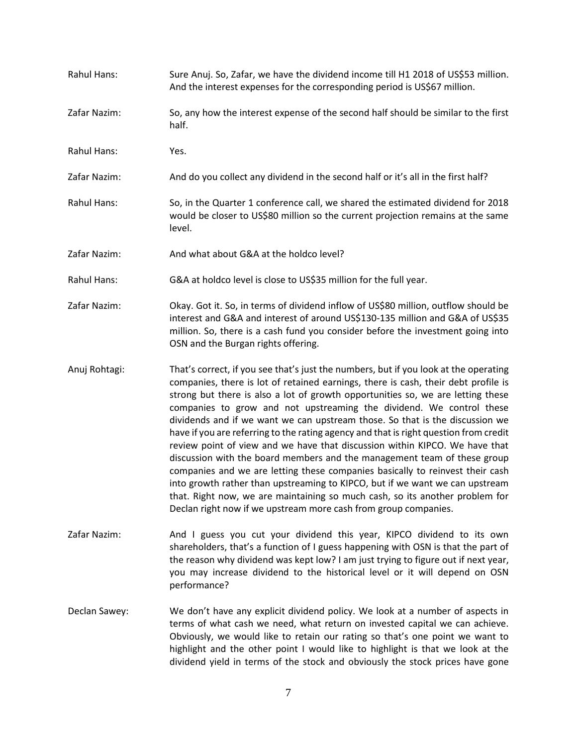- Rahul Hans: Sure Anuj. So, Zafar, we have the dividend income till H1 2018 of US\$53 million. And the interest expenses for the corresponding period is US\$67 million. Zafar Nazim: So, any how the interest expense of the second half should be similar to the first half. Rahul Hans: Yes. Zafar Nazim: And do you collect any dividend in the second half or it's all in the first half? Rahul Hans: So, in the Quarter 1 conference call, we shared the estimated dividend for 2018 would be closer to US\$80 million so the current projection remains at the same level. Zafar Nazim: And what about G&A at the holdco level? Rahul Hans: G&A at holdco level is close to US\$35 million for the full year. Zafar Nazim: Okay. Got it. So, in terms of dividend inflow of US\$80 million, outflow should be interest and G&A and interest of around US\$130-135 million and G&A of US\$35 million. So, there is a cash fund you consider before the investment going into OSN and the Burgan rights offering. Anuj Rohtagi: That's correct, if you see that's just the numbers, but if you look at the operating companies, there is lot of retained earnings, there is cash, their debt profile is strong but there is also a lot of growth opportunities so, we are letting these companies to grow and not upstreaming the dividend. We control these dividends and if we want we can upstream those. So that is the discussion we have if you are referring to the rating agency and that is right question from credit review point of view and we have that discussion within KIPCO. We have that discussion with the board members and the management team of these group companies and we are letting these companies basically to reinvest their cash into growth rather than upstreaming to KIPCO, but if we want we can upstream
- Zafar Nazim: And I guess you cut your dividend this year, KIPCO dividend to its own shareholders, that's a function of I guess happening with OSN is that the part of the reason why dividend was kept low? I am just trying to figure out if next year, you may increase dividend to the historical level or it will depend on OSN performance?

that. Right now, we are maintaining so much cash, so its another problem for

Declan right now if we upstream more cash from group companies.

Declan Sawey: We don't have any explicit dividend policy. We look at a number of aspects in terms of what cash we need, what return on invested capital we can achieve. Obviously, we would like to retain our rating so that's one point we want to highlight and the other point I would like to highlight is that we look at the dividend yield in terms of the stock and obviously the stock prices have gone